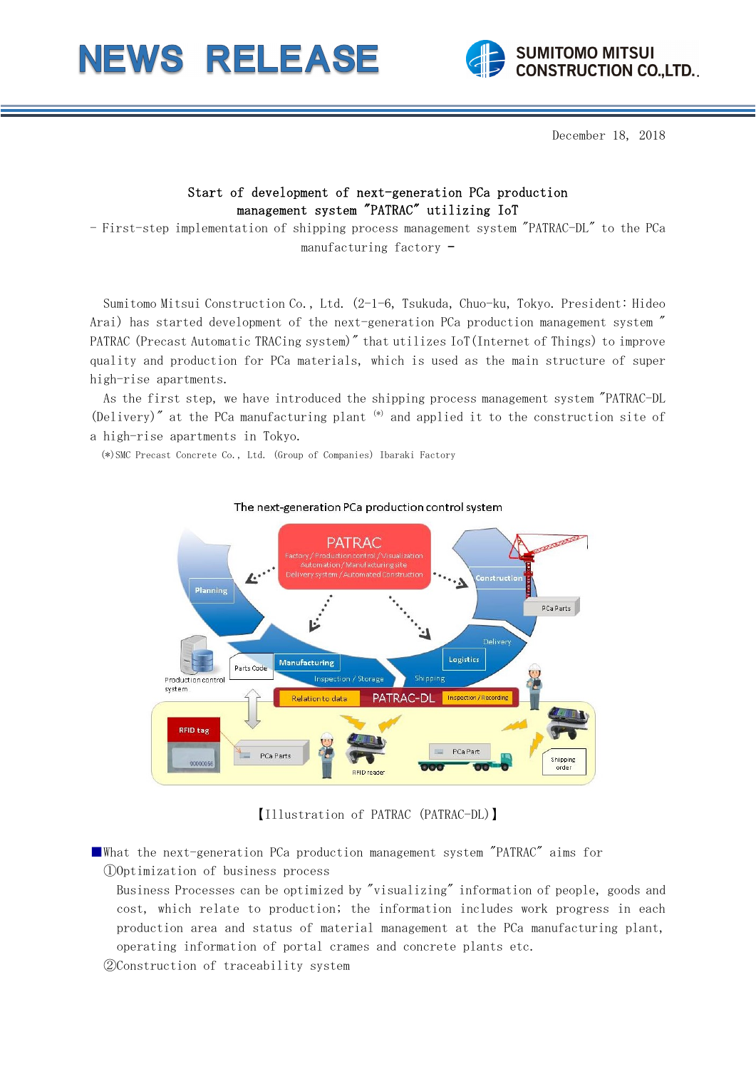



December 18, 2018

## Start of development of next-generation PCa production management system "PATRAC" utilizing IoT

- First-step implementation of shipping process management system "PATRAC-DL" to the PCa manufacturing factory -

Sumitomo Mitsui Construction Co., Ltd. (2-1-6, Tsukuda, Chuo-ku, Tokyo. President: Hideo Arai) has started development of the next-generation PCa production management system " PATRAC (Precast Automatic TRACing system)" that utilizes IoT(Internet of Things) to improve quality and production for PCa materials, which is used as the main structure of super high-rise apartments.

As the first step, we have introduced the shipping process management system "PATRAC-DL (Delivery)" at the PCa manufacturing plant (\*) and applied it to the construction site of a high-rise apartments in Tokyo.

(\*)SMC Precast Concrete Co., Ltd. (Group of Companies) Ibaraki Factory



## The next-generation PCa production control system

【Illustration of PATRAC (PATRAC-DL)】

■What the next-generation PCa production management system "PATRAC" aims for ①Optimization of business process

- Business Processes can be optimized by "visualizing" information of people, goods and cost, which relate to production; the information includes work progress in each production area and status of material management at the PCa manufacturing plant, operating information of portal crames and concrete plants etc.
- ②Construction of traceability system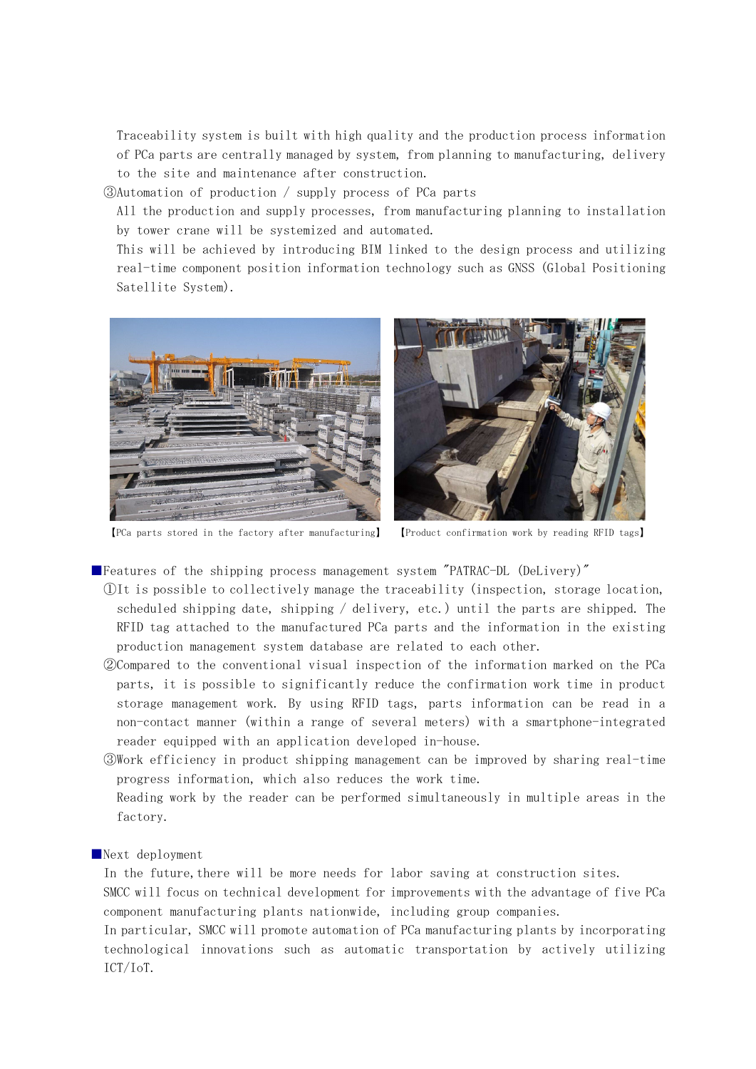Traceability system is built with high quality and the production process information of PCa parts are centrally managed by system, from planning to manufacturing, delivery to the site and maintenance after construction.

③Automation of production / supply process of PCa parts

All the production and supply processes, from manufacturing planning to installation by tower crane will be systemized and automated.

This will be achieved by introducing BIM linked to the design process and utilizing real-time component position information technology such as GNSS (Global Positioning Satellite System).



【PCa parts stored in the factory after manufacturing】 【Product confirmation work by reading RFID tags】

■Features of the shipping process management system "PATRAC-DL (DeLivery)"

- ①It is possible to collectively manage the traceability (inspection, storage location, scheduled shipping date, shipping / delivery, etc.) until the parts are shipped. The RFID tag attached to the manufactured PCa parts and the information in the existing production management system database are related to each other.
- ②Compared to the conventional visual inspection of the information marked on the PCa parts, it is possible to significantly reduce the confirmation work time in product storage management work. By using RFID tags, parts information can be read in a non-contact manner (within a range of several meters) with a smartphone-integrated reader equipped with an application developed in-house.
- ③Work efficiency in product shipping management can be improved by sharing real-time progress information, which also reduces the work time.

Reading work by the reader can be performed simultaneously in multiple areas in the factory.

## ■Next deployment

In the future, there will be more needs for labor saving at construction sites.

SMCC will focus on technical development for improvements with the advantage of five PCa component manufacturing plants nationwide, including group companies.

In particular, SMCC will promote automation of PCa manufacturing plants by incorporating technological innovations such as automatic transportation by actively utilizing ICT/IoT.